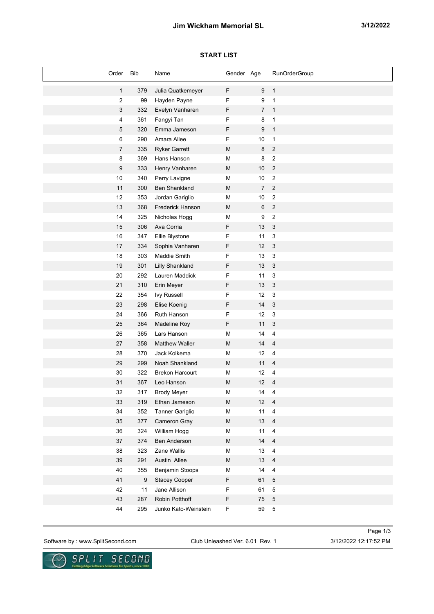# **Jim Wickham Memorial SL 3/12/2022**

## **START LIST**

| Order                   | Bib   | Name                   | Gender Age                                                                                                 |                | RunOrderGroup             |
|-------------------------|-------|------------------------|------------------------------------------------------------------------------------------------------------|----------------|---------------------------|
| $\mathbf{1}$            | 379   | Julia Quatkemeyer      | F                                                                                                          | 9              | $\mathbf{1}$              |
| $\boldsymbol{2}$        | 99    | Hayden Payne           | F                                                                                                          | 9              | $\mathbf{1}$              |
| 3                       | 332   | Evelyn Vanharen        | F                                                                                                          | $\overline{7}$ | $\overline{1}$            |
| $\overline{\mathbf{4}}$ | 361   | Fangyi Tan             | F                                                                                                          | 8              | $\mathbf{1}$              |
| 5                       | 320   | Emma Jameson           | F                                                                                                          | $9\,$          | $\mathbf{1}$              |
| 6                       | 290   | Amara Allee            | F                                                                                                          | 10             | $\mathbf{1}$              |
| $\overline{7}$          | 335   | <b>Ryker Garrett</b>   | M                                                                                                          | 8              | $\sqrt{2}$                |
| 8                       | 369   | Hans Hanson            | M                                                                                                          | 8              | $\sqrt{2}$                |
| $9\,$                   | 333   | Henry Vanharen         | M                                                                                                          | $10$           | $\overline{2}$            |
| 10                      | 340   | Perry Lavigne          | M                                                                                                          | $10$           | $\sqrt{2}$                |
| 11                      | 300   | <b>Ben Shankland</b>   | M                                                                                                          | $\overline{7}$ | $\overline{2}$            |
| 12                      | 353   | Jordan Gariglio        | M                                                                                                          | $10$           | $\sqrt{2}$                |
| 13                      | 368   | Frederick Hanson       | M                                                                                                          | 6              | $\sqrt{2}$                |
| 14                      | 325   | Nicholas Hogg          | М                                                                                                          | 9              | $\sqrt{2}$                |
| 15                      | 306   | Ava Corria             | F                                                                                                          | 13             | $\mathbf{3}$              |
| 16                      | 347   | Ellie Blystone         | F                                                                                                          | 11             | $\ensuremath{\mathsf{3}}$ |
| 17                      | 334   | Sophia Vanharen        | F                                                                                                          | 12             | $\mathbf{3}$              |
| 18                      | 303   | Maddie Smith           | F                                                                                                          | 13             | 3                         |
| 19                      | 301   | <b>Lilly Shankland</b> | F                                                                                                          | $13$           | $\mathbf{3}$              |
| 20                      | 292   | Lauren Maddick         | F                                                                                                          | 11             | 3                         |
| 21                      | 310   | Erin Meyer             | F                                                                                                          | 13             | $\mathbf{3}$              |
| 22                      | 354   | <b>Ivy Russell</b>     | F                                                                                                          | 12             | 3                         |
| 23                      | 298   | Elise Koenig           | F                                                                                                          | 14             | $\mathbf{3}$              |
| 24                      | 366   | Ruth Hanson            | F                                                                                                          | 12             | $\ensuremath{\mathsf{3}}$ |
| 25                      | 364   | Madeline Roy           | F                                                                                                          | 11             | 3                         |
| 26                      | 365   | Lars Hanson            | M                                                                                                          | 14             | $\overline{4}$            |
| 27                      | 358   | <b>Matthew Waller</b>  | M                                                                                                          | 14             | $\overline{4}$            |
| 28                      | 370   | Jack Kolkema           | M                                                                                                          | 12             | $\overline{4}$            |
| 29                      | 299   | Noah Shankland         | M                                                                                                          | 11             | $\overline{4}$            |
| $30\,$                  | 322   | <b>Brekon Harcourt</b> | M                                                                                                          | 12             | $\overline{4}$            |
| 31                      | 367   | Leo Hanson             | M                                                                                                          | 12             | $\overline{4}$            |
| 32                      | 317   | <b>Brody Meyer</b>     | M                                                                                                          | 14             | 4                         |
| 33                      | 319   | Ethan Jameson          | $\mathsf{M}% _{T}=\mathsf{M}_{T}\!\left( a,b\right) ,\ \mathsf{M}_{T}=\mathsf{M}_{T}\!\left( a,b\right) ,$ | 12             | $\overline{4}$            |
| 34                      | 352   | Tanner Gariglio        | M                                                                                                          | 11             | $\overline{4}$            |
| 35                      | 377   | Cameron Gray           | ${\sf M}$                                                                                                  | $13$           | $\overline{4}$            |
| 36                      | 324   | William Hogg           | M                                                                                                          | $11$           | $\overline{\mathbf{4}}$   |
| 37                      | 374   | Ben Anderson           | ${\sf M}$                                                                                                  | $14$           | $\overline{4}$            |
| 38                      | 323   | Zane Wallis            | M                                                                                                          | 13             | $\overline{\mathbf{4}}$   |
| 39                      | 291   | Austin Allee           | M                                                                                                          | 13             | $\overline{4}$            |
| 40                      | 355   | Benjamin Stoops        | M                                                                                                          | 14             | $\overline{\mathbf{4}}$   |
| 41                      | $9\,$ | <b>Stacey Cooper</b>   | F                                                                                                          | 61             | $\sqrt{5}$                |
| 42                      | 11    | Jane Allison           | F                                                                                                          | 61             | $\mathbf 5$               |
| 43                      | 287   | Robin Potthoff         | F                                                                                                          | 75             | $\mathbf 5$               |
| 44                      | 295   | Junko Kato-Weinstein   | F                                                                                                          | 59             | $\sqrt{5}$                |

Software by : www.SplitSecond.com Club Unleashed Ver. 6.01 Rev. 1 3/12/2022 12:17:52 PM

Page 1/3

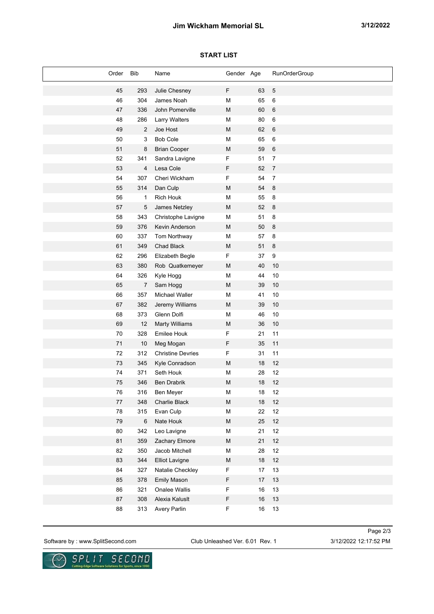# **Jim Wickham Memorial SL 3/12/2022**

## **START LIST**

| Order      | <b>Bib</b>     | Name                     | Gender Age                                                                                                 |        | <b>RunOrderGroup</b> |
|------------|----------------|--------------------------|------------------------------------------------------------------------------------------------------------|--------|----------------------|
| 45         | 293            | Julie Chesney            | F                                                                                                          | 63     | $\overline{5}$       |
| 46         | 304            | James Noah               | M                                                                                                          | 65     | $\,6\,$              |
| 47         | 336            | John Pomerville          | M                                                                                                          | 60     | $\,6$                |
| 48         | 286            | <b>Larry Walters</b>     | M                                                                                                          | 80     | $\,6\,$              |
| 49         | $\overline{2}$ | Joe Host                 | M                                                                                                          | 62     | $\,6\,$              |
| 50         | 3              | <b>Bob Cole</b>          | М                                                                                                          | 65     | $\,6\,$              |
| 51         | 8              | <b>Brian Cooper</b>      | M                                                                                                          | 59     | $\,6$                |
| 52         | 341            | Sandra Lavigne           | F                                                                                                          | 51     | $\boldsymbol{7}$     |
| 53         | 4              | Lesa Cole                | F                                                                                                          | 52     | $\boldsymbol{7}$     |
| 54         | 307            | Cheri Wickham            | F                                                                                                          | 54     | $\overline{7}$       |
| 55         | 314            | Dan Culp                 | M                                                                                                          | 54     | $\,8\,$              |
| 56         | $\mathbf{1}$   | <b>Rich Houk</b>         | M                                                                                                          | 55     | $\bf 8$              |
| 57         | $\sqrt{5}$     | James Netzley            | M                                                                                                          | 52     | $\,8\,$              |
| 58         | 343            | Christophe Lavigne       | M                                                                                                          | 51     | $\bf 8$              |
| 59         | 376            | Kevin Anderson           | M                                                                                                          | 50     | $\,8\,$              |
| 60         | 337            | Tom Northway             | M                                                                                                          | 57     | $\bf 8$              |
| 61         | 349            | Chad Black               | M                                                                                                          | 51     | $\,8\,$              |
| 62         | 296            | Elizabeth Begle          | F                                                                                                          | 37     | $\boldsymbol{9}$     |
| 63         | 380            | Rob Quatkemeyer          | M                                                                                                          | 40     | 10                   |
| 64         | 326            | Kyle Hogg                | M                                                                                                          | 44     | 10                   |
| 65         | 7              | Sam Hogg                 | M                                                                                                          | 39     | $10$                 |
| 66         | 357            | Michael Waller           | M                                                                                                          | 41     | 10                   |
| 67         | 382            | Jeremy Williams          | M                                                                                                          | 39     | $10$                 |
| 68         | 373            | Glenn Dolfi              | M                                                                                                          | 46     | 10                   |
| 69         | 12             | <b>Marty Williams</b>    | M                                                                                                          | 36     | $10$                 |
| 70         | 328            | <b>Emilee Houk</b>       | F                                                                                                          | 21     | 11                   |
| 71         | 10             | Meg Mogan                | F                                                                                                          | 35     | 11                   |
| 72         | 312            | <b>Christine Devries</b> | F                                                                                                          | 31     | 11                   |
| 73         | 345            | Kyle Conradson           | M                                                                                                          | 18     | 12                   |
| 74         | 371            | Seth Houk                | M                                                                                                          | 28     | 12                   |
| 75         | 346            | <b>Ben Drabrik</b>       | M                                                                                                          | 18     | 12                   |
| 76         | 316            | Ben Meyer                | M                                                                                                          | $18$   | 12                   |
| 77         | 348            | Charlie Black            | ${\sf M}$                                                                                                  | 18     | 12                   |
| 78         | 315            | Evan Culp                | ${\sf M}$                                                                                                  | 22     | 12                   |
| ${\bf 79}$ | $\,6\,$        | Nate Houk                | $\mathsf{M}% _{T}=\mathsf{M}_{T}\!\left( a,b\right) ,\ \mathsf{M}_{T}=\mathsf{M}_{T}\!\left( a,b\right) ,$ | 25     | $12\,$               |
| $80\,$     | 342            | Leo Lavigne              | M                                                                                                          | 21     | 12                   |
| 81         | 359            | Zachary Elmore           | ${\sf M}$                                                                                                  | 21     | $12\,$               |
| 82         | 350            | Jacob Mitchell           | M                                                                                                          | 28     | $12$                 |
| 83         | 344            | <b>Elliot Lavigne</b>    | ${\sf M}$                                                                                                  | $18\,$ | $12$                 |
| 84         | 327            | Natalie Checkley         | F                                                                                                          | 17     | 13                   |
| 85         | 378            | <b>Emily Mason</b>       | F                                                                                                          | 17     | 13                   |
| 86         | 321            | Onalee Wallis            | F                                                                                                          | 16     | 13                   |
| $87\,$     | 308            | Alexia Kaluslt           | F                                                                                                          | $16\,$ | $13\,$               |
| 88         | 313            | Avery Parlin             | F                                                                                                          | $16\,$ | 13                   |

Software by : www.SplitSecond.com Club Unleashed Ver. 6.01 Rev. 1 3/12/2022 12:17:52 PM

Page 2/3